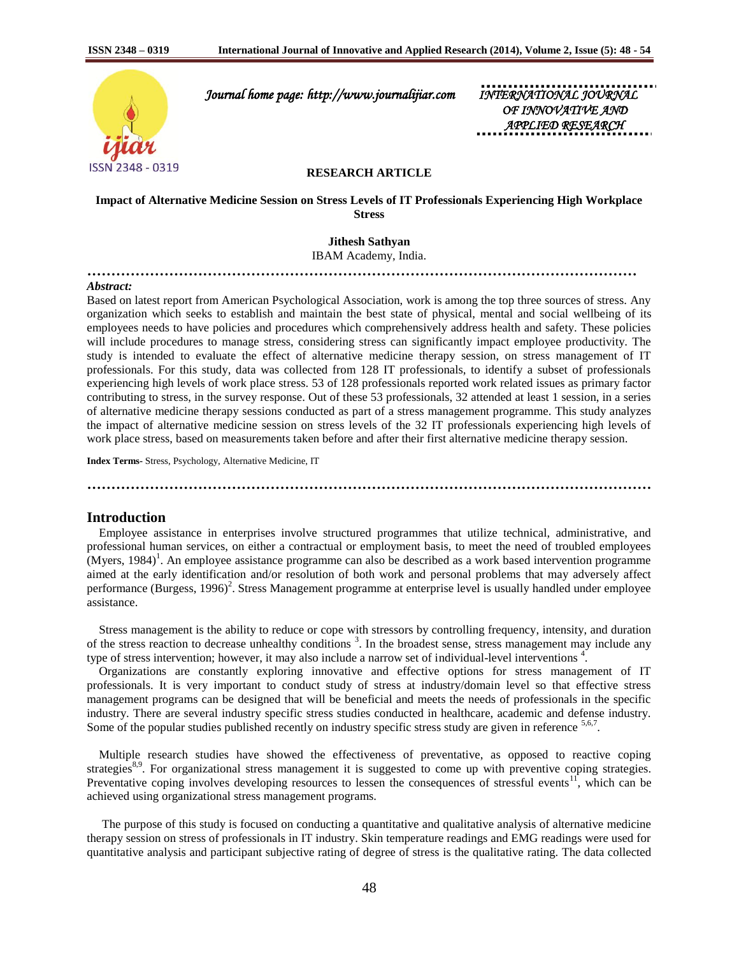**……………………………………………………………………………………………………**



 *Journal home page: http://www.journalijiar.com INTERNATIONAL JOURNAL* 

*OF INNOVATIVE AND APPLIED RESEARCH* 

# **RESEARCH ARTICLE**

**Impact of Alternative Medicine Session on Stress Levels of IT Professionals Experiencing High Workplace Stress**

# **Jithesh Sathyan**

IBAM Academy, India.

# *Abstract:*

Based on latest report from American Psychological Association, work is among the top three sources of stress. Any organization which seeks to establish and maintain the best state of physical, mental and social wellbeing of its employees needs to have policies and procedures which comprehensively address health and safety. These policies will include procedures to manage stress, considering stress can significantly impact employee productivity. The study is intended to evaluate the effect of alternative medicine therapy session, on stress management of IT professionals. For this study, data was collected from 128 IT professionals, to identify a subset of professionals experiencing high levels of work place stress. 53 of 128 professionals reported work related issues as primary factor contributing to stress, in the survey response. Out of these 53 professionals, 32 attended at least 1 session, in a series of alternative medicine therapy sessions conducted as part of a stress management programme. This study analyzes the impact of alternative medicine session on stress levels of the 32 IT professionals experiencing high levels of work place stress, based on measurements taken before and after their first alternative medicine therapy session.

**Index Terms-** Stress, Psychology, Alternative Medicine, IT

# **Introduction**

Employee assistance in enterprises involve structured programmes that utilize technical, administrative, and professional human services, on either a contractual or employment basis, to meet the need of troubled employees  $(Myers, 1984)$ <sup>1</sup>. An employee assistance programme can also be described as a work based intervention programme aimed at the early identification and/or resolution of both work and personal problems that may adversely affect performance (Burgess, 1996)<sup>2</sup>. Stress Management programme at enterprise level is usually handled under employee assistance.

**………………………………………………………………………………………………………**

Stress management is the ability to reduce or cope with stressors by controlling frequency, intensity, and duration of the stress reaction to decrease unhealthy conditions<sup>3</sup>. In the broadest sense, stress management may include any type of stress intervention; however, it may also include a narrow set of individual-level interventions  $4$ .

Organizations are constantly exploring innovative and effective options for stress management of IT professionals. It is very important to conduct study of stress at industry/domain level so that effective stress management programs can be designed that will be beneficial and meets the needs of professionals in the specific industry. There are several industry specific stress studies conducted in healthcare, academic and defense industry. Some of the popular studies published recently on industry specific stress study are given in reference <sup>5,6,7</sup>.

Multiple research studies have showed the effectiveness of preventative, as opposed to reactive coping strategies<sup>8,9</sup>. For organizational stress management it is suggested to come up with preventive coping strategies. Preventative coping involves developing resources to lessen the consequences of stressful events<sup>11</sup>, which can be achieved using organizational stress management programs.

The purpose of this study is focused on conducting a quantitative and qualitative analysis of alternative medicine therapy session on stress of professionals in IT industry. Skin temperature readings and EMG readings were used for quantitative analysis and participant subjective rating of degree of stress is the qualitative rating. The data collected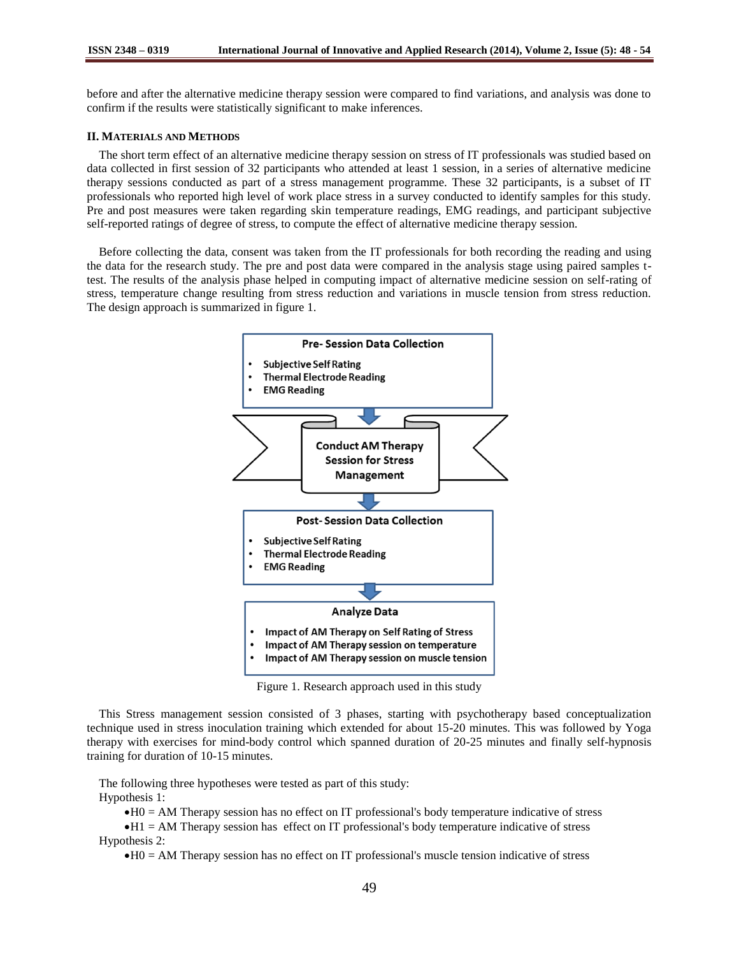before and after the alternative medicine therapy session were compared to find variations, and analysis was done to confirm if the results were statistically significant to make inferences.

### **II. MATERIALS AND METHODS**

The short term effect of an alternative medicine therapy session on stress of IT professionals was studied based on data collected in first session of 32 participants who attended at least 1 session, in a series of alternative medicine therapy sessions conducted as part of a stress management programme. These 32 participants, is a subset of IT professionals who reported high level of work place stress in a survey conducted to identify samples for this study. Pre and post measures were taken regarding skin temperature readings, EMG readings, and participant subjective self-reported ratings of degree of stress, to compute the effect of alternative medicine therapy session.

Before collecting the data, consent was taken from the IT professionals for both recording the reading and using the data for the research study. The pre and post data were compared in the analysis stage using paired samples ttest. The results of the analysis phase helped in computing impact of alternative medicine session on self-rating of stress, temperature change resulting from stress reduction and variations in muscle tension from stress reduction. The design approach is summarized in figure 1.



Figure 1. Research approach used in this study

This Stress management session consisted of 3 phases, starting with psychotherapy based conceptualization technique used in stress inoculation training which extended for about 15-20 minutes. This was followed by Yoga therapy with exercises for mind-body control which spanned duration of 20-25 minutes and finally self-hypnosis training for duration of 10-15 minutes.

The following three hypotheses were tested as part of this study: Hypothesis 1:

H0 = AM Therapy session has no effect on IT professional's body temperature indicative of stress

H1 = AM Therapy session has effect on IT professional's body temperature indicative of stress Hypothesis 2:

H0 = AM Therapy session has no effect on IT professional's muscle tension indicative of stress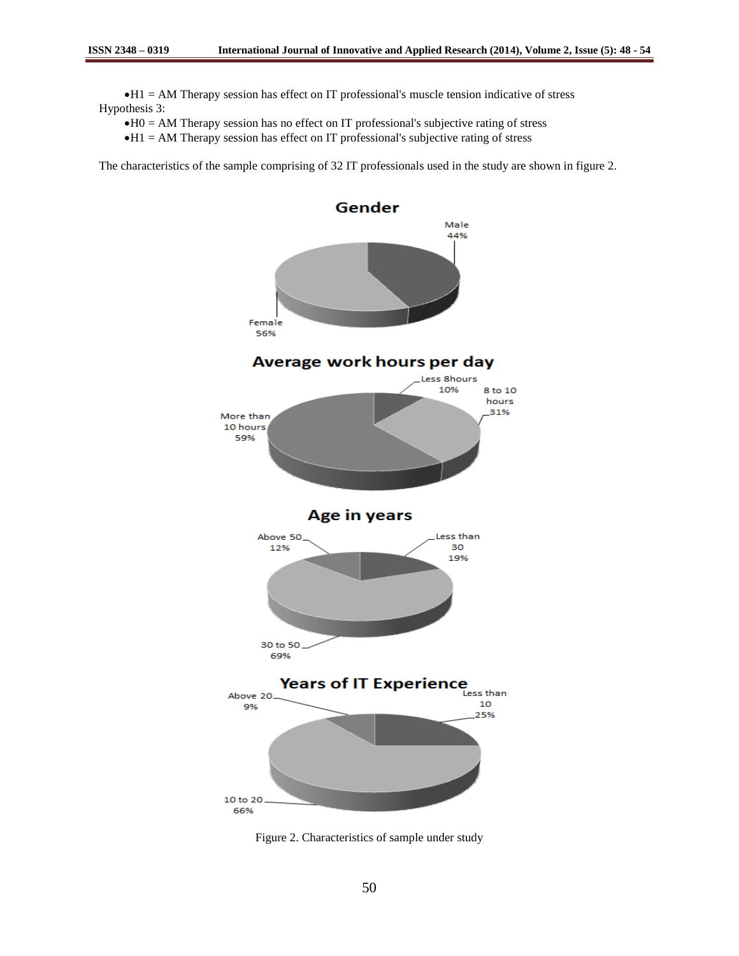$H1 = AM$  Therapy session has effect on IT professional's muscle tension indicative of stress Hypothesis 3:

 $H0 = AM$  Therapy session has no effect on IT professional's subjective rating of stress

 $H1 = AM$  Therapy session has effect on IT professional's subjective rating of stress

The characteristics of the sample comprising of 32 IT professionals used in the study are shown in figure 2.



Figure 2. Characteristics of sample under study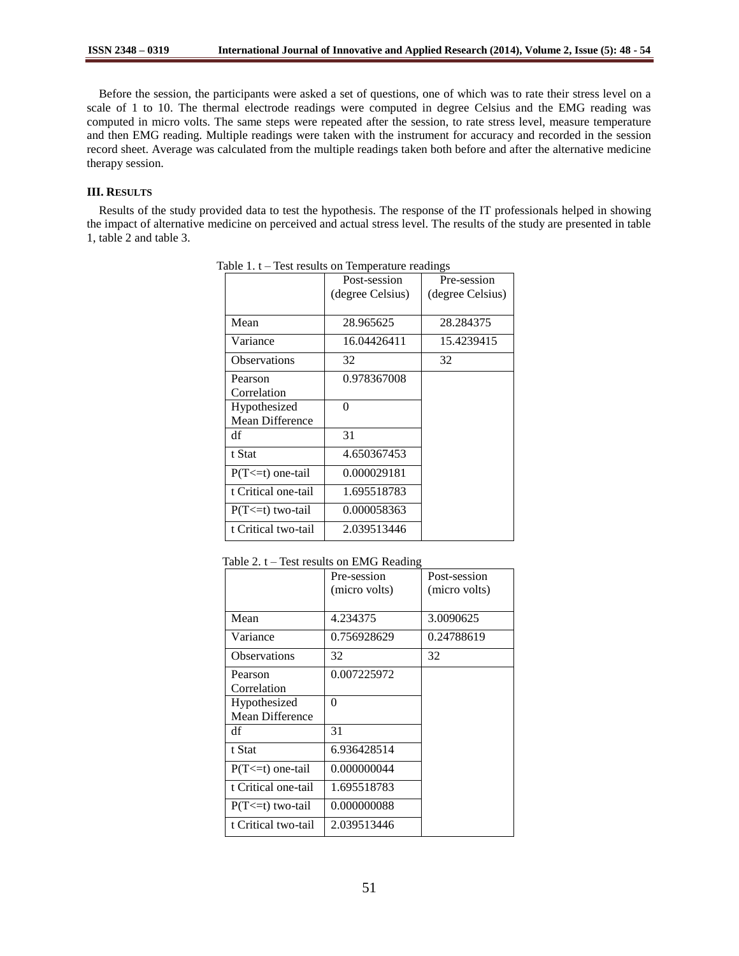Before the session, the participants were asked a set of questions, one of which was to rate their stress level on a scale of 1 to 10. The thermal electrode readings were computed in degree Celsius and the EMG reading was computed in micro volts. The same steps were repeated after the session, to rate stress level, measure temperature and then EMG reading. Multiple readings were taken with the instrument for accuracy and recorded in the session record sheet. Average was calculated from the multiple readings taken both before and after the alternative medicine therapy session.

# **III. RESULTS**

Results of the study provided data to test the hypothesis. The response of the IT professionals helped in showing the impact of alternative medicine on perceived and actual stress level. The results of the study are presented in table 1, table 2 and table 3.

|                       | Post-session     | Pre-session      |
|-----------------------|------------------|------------------|
|                       | (degree Celsius) | (degree Celsius) |
|                       |                  |                  |
| Mean                  | 28.965625        | 28.284375        |
| Variance              | 16.04426411      | 15.4239415       |
| <b>Observations</b>   | 32               | 32               |
| Pearson               | 0.978367008      |                  |
| Correlation           |                  |                  |
| Hypothesized          | 0                |                  |
| Mean Difference       |                  |                  |
| df                    | 31               |                  |
| t Stat                | 4.650367453      |                  |
| $P(T \le t)$ one-tail | 0.000029181      |                  |
| t Critical one-tail   | 1.695518783      |                  |
| $P(T \le t)$ two-tail | 0.000058363      |                  |
| t Critical two-tail   | 2.039513446      |                  |

Table 1. t – Test results on Temperature readings

| Table 2. $t$ – Test results on EMG Reading |
|--------------------------------------------|
|--------------------------------------------|

|                       | Pre-session   | Post-session  |
|-----------------------|---------------|---------------|
|                       | (micro volts) | (micro volts) |
|                       |               |               |
| Mean                  | 4.234375      | 3.0090625     |
| Variance              | 0.756928629   | 0.24788619    |
| <b>Observations</b>   | 32            | 32            |
| Pearson               | 0.007225972   |               |
| Correlation           |               |               |
| Hypothesized          | $\theta$      |               |
| Mean Difference       |               |               |
| df                    | 31            |               |
| t Stat                | 6.936428514   |               |
| $P(T \le t)$ one-tail | 0.000000044   |               |
| t Critical one-tail   | 1.695518783   |               |
| $P(T \le t)$ two-tail | 0.000000088   |               |
| t Critical two-tail   | 2.039513446   |               |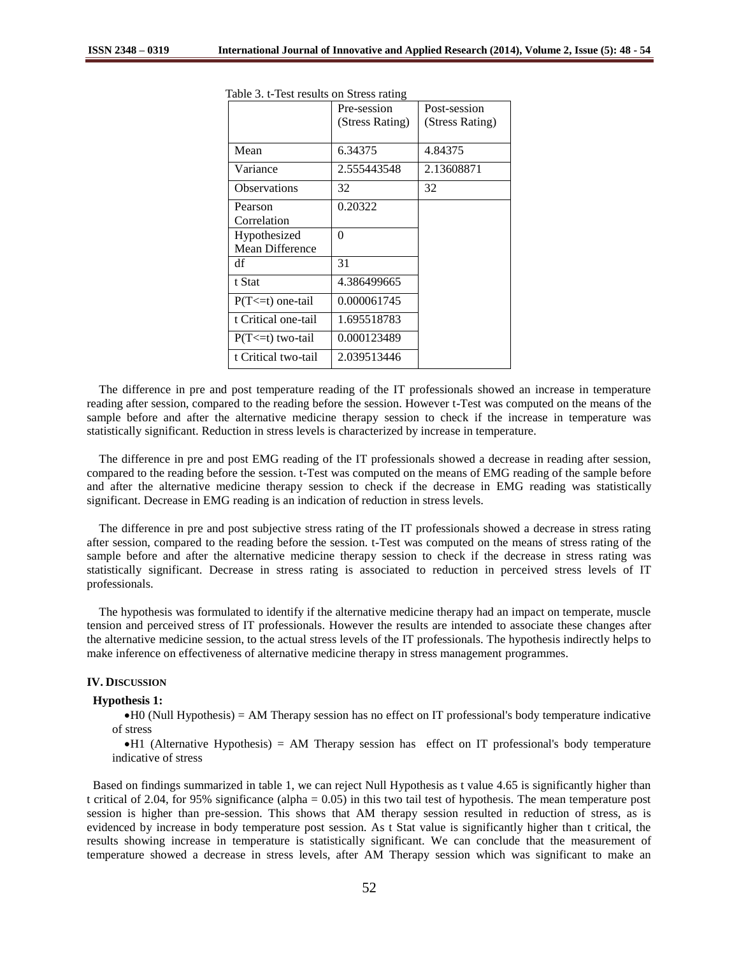|                                 | Pre-session<br>(Stress Rating) | Post-session<br>(Stress Rating) |
|---------------------------------|--------------------------------|---------------------------------|
| Mean                            | 6.34375                        | 4.84375                         |
| Variance                        | 2.555443548                    | 2.13608871                      |
| <b>Observations</b>             | 32                             | 32                              |
| Pearson<br>Correlation          | 0.20322                        |                                 |
| Hypothesized<br>Mean Difference | 0                              |                                 |
| df                              | 31                             |                                 |
| t Stat                          | 4.386499665                    |                                 |
| $P(T \le t)$ one-tail           | 0.000061745                    |                                 |
| t Critical one-tail             | 1.695518783                    |                                 |
| $P(T \le t)$ two-tail           | 0.000123489                    |                                 |
| t Critical two-tail             | 2.039513446                    |                                 |

Table 3. t-Test results on Stress rating

The difference in pre and post temperature reading of the IT professionals showed an increase in temperature reading after session, compared to the reading before the session. However t-Test was computed on the means of the sample before and after the alternative medicine therapy session to check if the increase in temperature was statistically significant. Reduction in stress levels is characterized by increase in temperature.

The difference in pre and post EMG reading of the IT professionals showed a decrease in reading after session, compared to the reading before the session. t-Test was computed on the means of EMG reading of the sample before and after the alternative medicine therapy session to check if the decrease in EMG reading was statistically significant. Decrease in EMG reading is an indication of reduction in stress levels.

The difference in pre and post subjective stress rating of the IT professionals showed a decrease in stress rating after session, compared to the reading before the session. t-Test was computed on the means of stress rating of the sample before and after the alternative medicine therapy session to check if the decrease in stress rating was statistically significant. Decrease in stress rating is associated to reduction in perceived stress levels of IT professionals.

The hypothesis was formulated to identify if the alternative medicine therapy had an impact on temperate, muscle tension and perceived stress of IT professionals. However the results are intended to associate these changes after the alternative medicine session, to the actual stress levels of the IT professionals. The hypothesis indirectly helps to make inference on effectiveness of alternative medicine therapy in stress management programmes.

# **IV. DISCUSSION**

#### **Hypothesis 1:**

 $H_0$  (Null Hypothesis) = AM Therapy session has no effect on IT professional's body temperature indicative of stress

 $H1$  (Alternative Hypothesis) = AM Therapy session has effect on IT professional's body temperature indicative of stress

Based on findings summarized in table 1, we can reject Null Hypothesis as t value 4.65 is significantly higher than t critical of 2.04, for 95% significance (alpha  $= 0.05$ ) in this two tail test of hypothesis. The mean temperature post session is higher than pre-session. This shows that AM therapy session resulted in reduction of stress, as is evidenced by increase in body temperature post session. As t Stat value is significantly higher than t critical, the results showing increase in temperature is statistically significant. We can conclude that the measurement of temperature showed a decrease in stress levels, after AM Therapy session which was significant to make an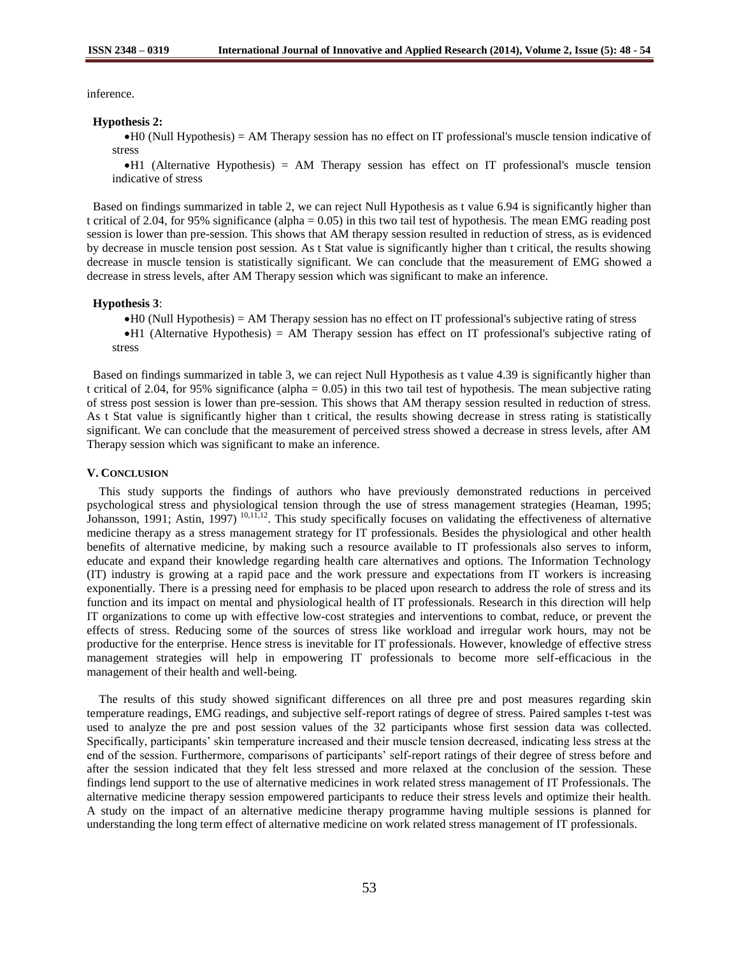inference.

# **Hypothesis 2:**

 $H_0$  (Null Hypothesis) = AM Therapy session has no effect on IT professional's muscle tension indicative of stress

H1 (Alternative Hypothesis) = AM Therapy session has effect on IT professional's muscle tension indicative of stress

Based on findings summarized in table 2, we can reject Null Hypothesis as t value 6.94 is significantly higher than t critical of 2.04, for 95% significance (alpha = 0.05) in this two tail test of hypothesis. The mean EMG reading post session is lower than pre-session. This shows that AM therapy session resulted in reduction of stress, as is evidenced by decrease in muscle tension post session. As t Stat value is significantly higher than t critical, the results showing decrease in muscle tension is statistically significant. We can conclude that the measurement of EMG showed a decrease in stress levels, after AM Therapy session which was significant to make an inference.

## **Hypothesis 3**:

H0 (Null Hypothesis) = AM Therapy session has no effect on IT professional's subjective rating of stress

 $H1$  (Alternative Hypothesis) = AM Therapy session has effect on IT professional's subjective rating of stress

Based on findings summarized in table 3, we can reject Null Hypothesis as t value 4.39 is significantly higher than t critical of 2.04, for 95% significance (alpha  $= 0.05$ ) in this two tail test of hypothesis. The mean subjective rating of stress post session is lower than pre-session. This shows that AM therapy session resulted in reduction of stress. As t Stat value is significantly higher than t critical, the results showing decrease in stress rating is statistically significant. We can conclude that the measurement of perceived stress showed a decrease in stress levels, after AM Therapy session which was significant to make an inference.

# **V. CONCLUSION**

This study supports the findings of authors who have previously demonstrated reductions in perceived psychological stress and physiological tension through the use of stress management strategies (Heaman, 1995; Johansson, 1991; Astin, 1997)  $^{10,11,12}$ . This study specifically focuses on validating the effectiveness of alternative medicine therapy as a stress management strategy for IT professionals. Besides the physiological and other health benefits of alternative medicine, by making such a resource available to IT professionals also serves to inform, educate and expand their knowledge regarding health care alternatives and options. The Information Technology (IT) industry is growing at a rapid pace and the work pressure and expectations from IT workers is increasing exponentially. There is a pressing need for emphasis to be placed upon research to address the role of stress and its function and its impact on mental and physiological health of IT professionals. Research in this direction will help IT organizations to come up with effective low-cost strategies and interventions to combat, reduce, or prevent the effects of stress. Reducing some of the sources of stress like workload and irregular work hours, may not be productive for the enterprise. Hence stress is inevitable for IT professionals. However, knowledge of effective stress management strategies will help in empowering IT professionals to become more self-efficacious in the management of their health and well-being.

The results of this study showed significant differences on all three pre and post measures regarding skin temperature readings, EMG readings, and subjective self-report ratings of degree of stress. Paired samples t-test was used to analyze the pre and post session values of the 32 participants whose first session data was collected. Specifically, participants' skin temperature increased and their muscle tension decreased, indicating less stress at the end of the session. Furthermore, comparisons of participants' self-report ratings of their degree of stress before and after the session indicated that they felt less stressed and more relaxed at the conclusion of the session. These findings lend support to the use of alternative medicines in work related stress management of IT Professionals. The alternative medicine therapy session empowered participants to reduce their stress levels and optimize their health. A study on the impact of an alternative medicine therapy programme having multiple sessions is planned for understanding the long term effect of alternative medicine on work related stress management of IT professionals.